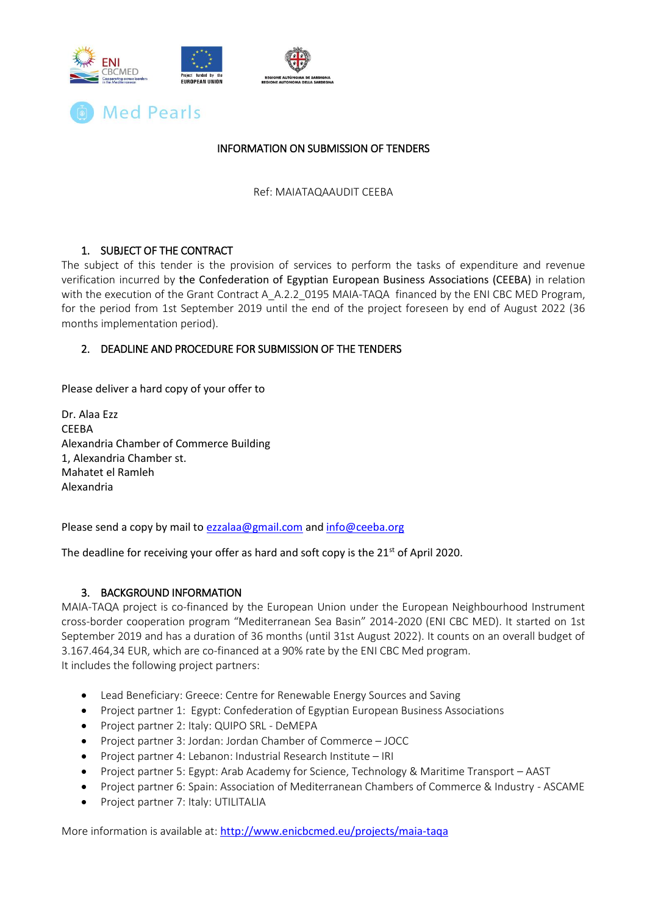



## INFORMATION ON SUBMISSION OF TENDERS

Ref: MAIATAQAAUDIT CEEBA

## 1. SUBJECT OF THE CONTRACT

The subject of this tender is the provision of services to perform the tasks of expenditure and revenue verification incurred by the Confederation of Egyptian European Business Associations (CEEBA) in relation with the execution of the Grant Contract A\_A.2.2\_0195 MAIA-TAQA financed by the ENI CBC MED Program, for the period from 1st September 2019 until the end of the project foreseen by end of August 2022 (36 months implementation period).

## 2. DEADLINE AND PROCEDURE FOR SUBMISSION OF THE TENDERS

Please deliver a hard copy of your offer to

Dr. Alaa Ezz CEEBA Alexandria Chamber of Commerce Building 1, Alexandria Chamber st. Mahatet el Ramleh Alexandria

Please send a copy by mail to [ezzalaa@gmail.com](mailto:ezzalaa@gmail.com) an[d info@ceeba.org](mailto:info@ceeba.org)

The deadline for receiving your offer as hard and soft copy is the  $21<sup>st</sup>$  of April 2020.

## 3. BACKGROUND INFORMATION

MAIA-TAQA project is co-financed by the European Union under the European Neighbourhood Instrument cross-border cooperation program "Mediterranean Sea Basin" 2014-2020 (ENI CBC MED). It started on 1st September 2019 and has a duration of 36 months (until 31st August 2022). It counts on an overall budget of 3.167.464,34 EUR, which are co-financed at a 90% rate by the ENI CBC Med program. It includes the following project partners:

- Lead Beneficiary: Greece: Centre for Renewable Energy Sources and Saving
- Project partner 1: Egypt: Confederation of Egyptian European Business Associations
- Project partner 2: Italy: QUIPO SRL DeMEPA
- Project partner 3: Jordan: Jordan Chamber of Commerce JOCC
- Project partner 4: Lebanon: Industrial Research Institute IRI
- Project partner 5: Egypt: Arab Academy for Science, Technology & Maritime Transport AAST
- Project partner 6: Spain: Association of Mediterranean Chambers of Commerce & Industry ASCAME
- Project partner 7: Italy: UTILITALIA

More information is available at: <http://www.enicbcmed.eu/projects/maia-taqa>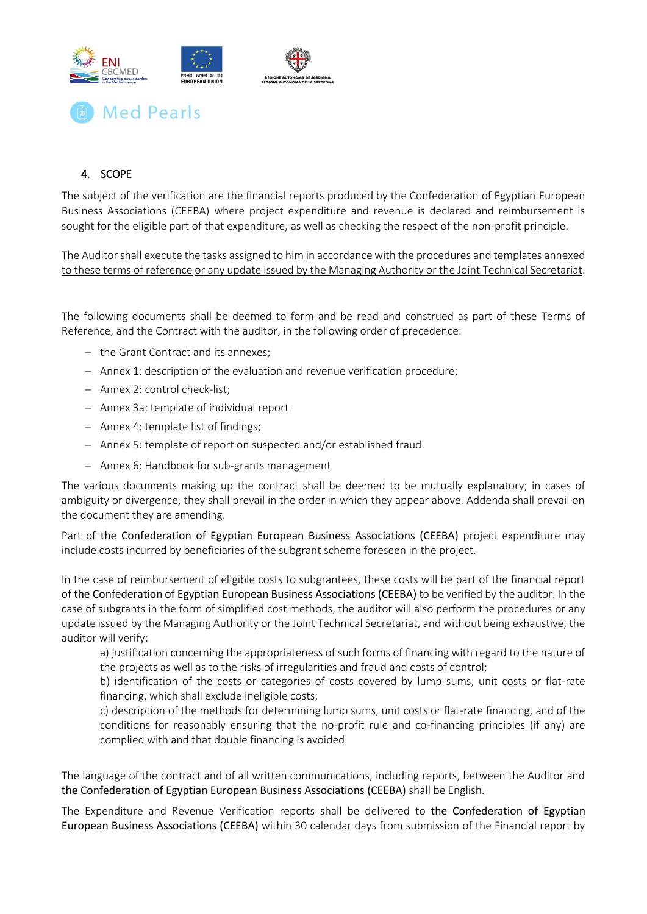

# 4. SCOPE

The subject of the verification are the financial reports produced by the Confederation of Egyptian European Business Associations (CEEBA) where project expenditure and revenue is declared and reimbursement is sought for the eligible part of that expenditure, as well as checking the respect of the non-profit principle.

The Auditor shall execute the tasks assigned to him in accordance with the procedures and templates annexed to these terms of reference or any update issued by the Managing Authority or the Joint Technical Secretariat.

The following documents shall be deemed to form and be read and construed as part of these Terms of Reference, and the Contract with the auditor, in the following order of precedence:

- $-$  the Grant Contract and its annexes;
- Annex 1: description of the evaluation and revenue verification procedure;
- Annex 2: control check-list:
- Annex 3a: template of individual report
- Annex 4: template list of findings;
- Annex 5: template of report on suspected and/or established fraud.
- Annex 6: Handbook for sub-grants management

The various documents making up the contract shall be deemed to be mutually explanatory; in cases of ambiguity or divergence, they shall prevail in the order in which they appear above. Addenda shall prevail on the document they are amending.

Part of the Confederation of Egyptian European Business Associations (CEEBA) project expenditure may include costs incurred by beneficiaries of the subgrant scheme foreseen in the project.

In the case of reimbursement of eligible costs to subgrantees, these costs will be part of the financial report of the Confederation of Egyptian European Business Associations (CEEBA) to be verified by the auditor. In the case of subgrants in the form of simplified cost methods, the auditor will also perform the procedures or any update issued by the Managing Authority or the Joint Technical Secretariat, and without being exhaustive, the auditor will verify:

a) justification concerning the appropriateness of such forms of financing with regard to the nature of the projects as well as to the risks of irregularities and fraud and costs of control;

b) identification of the costs or categories of costs covered by lump sums, unit costs or flat-rate financing, which shall exclude ineligible costs;

c) description of the methods for determining lump sums, unit costs or flat-rate financing, and of the conditions for reasonably ensuring that the no-profit rule and co-financing principles (if any) are complied with and that double financing is avoided

The language of the contract and of all written communications, including reports, between the Auditor and the Confederation of Egyptian European Business Associations (CEEBA) shall be English.

The Expenditure and Revenue Verification reports shall be delivered to the Confederation of Egyptian European Business Associations (CEEBA) within 30 calendar days from submission of the Financial report by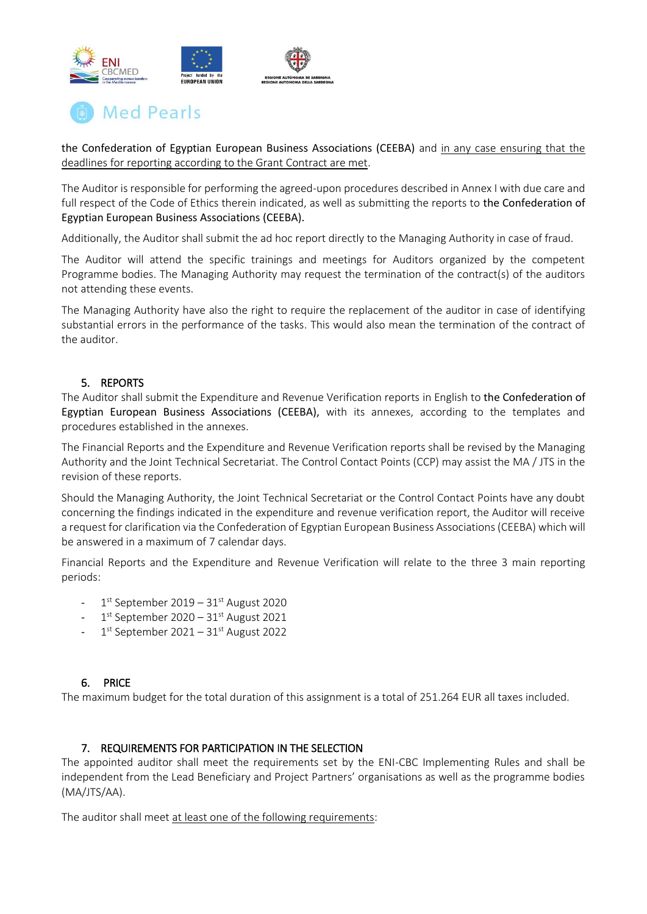



the Confederation of Egyptian European Business Associations (CEEBA) and in any case ensuring that the deadlines for reporting according to the Grant Contract are met.

The Auditor is responsible for performing the agreed-upon procedures described in Annex I with due care and full respect of the Code of Ethics therein indicated, as well as submitting the reports to the Confederation of Egyptian European Business Associations (CEEBA).

Additionally, the Auditor shall submit the ad hoc report directly to the Managing Authority in case of fraud.

The Auditor will attend the specific trainings and meetings for Auditors organized by the competent Programme bodies. The Managing Authority may request the termination of the contract(s) of the auditors not attending these events.

The Managing Authority have also the right to require the replacement of the auditor in case of identifying substantial errors in the performance of the tasks. This would also mean the termination of the contract of the auditor.

## 5. REPORTS

The Auditor shall submit the Expenditure and Revenue Verification reports in English to the Confederation of Egyptian European Business Associations (CEEBA), with its annexes, according to the templates and procedures established in the annexes.

The Financial Reports and the Expenditure and Revenue Verification reports shall be revised by the Managing Authority and the Joint Technical Secretariat. The Control Contact Points (CCP) may assist the MA / JTS in the revision of these reports.

Should the Managing Authority, the Joint Technical Secretariat or the Control Contact Points have any doubt concerning the findings indicated in the expenditure and revenue verification report, the Auditor will receive a request for clarification via the Confederation of Egyptian European Business Associations (CEEBA) which will be answered in a maximum of 7 calendar days.

Financial Reports and the Expenditure and Revenue Verification will relate to the three 3 main reporting periods:

- 1<sup>st</sup> September 2019 31<sup>st</sup> August 2020
- 1<sup>st</sup> September 2020 31<sup>st</sup> August 2021
- 1<sup>st</sup> September 2021 31<sup>st</sup> August 2022

#### 6. PRICE

The maximum budget for the total duration of this assignment is a total of 251.264 EUR all taxes included.

#### 7. REQUIREMENTS FOR PARTICIPATION IN THE SELECTION

The appointed auditor shall meet the requirements set by the ENI-CBC Implementing Rules and shall be independent from the Lead Beneficiary and Project Partners' organisations as well as the programme bodies (MA/JTS/AA).

The auditor shall meet at least one of the following requirements: